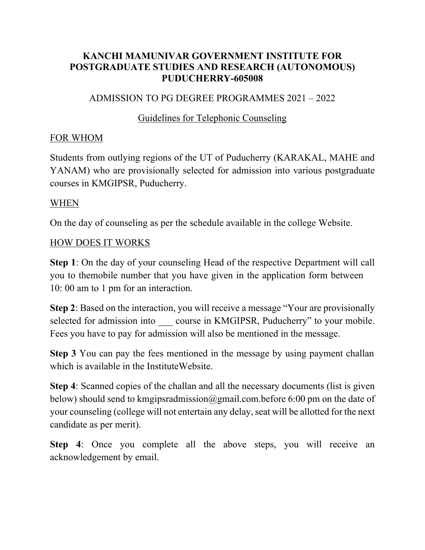### **KANCHI MAMUNIVAR GOVERNMENT INSTITUTE FOR POSTGRADUATE STUDIES AND RESEARCH (AUTONOMOUS) PUDUCHERRY-605008**

### ADMISSION TO PG DEGREE PROGRAMMES 2021 – 2022

### Guidelines for Telephonic Counseling

#### FOR WHOM

Students from outlying regions of the UT of Puducherry (KARAKAL, MAHE and YANAM) who are provisionally selected for admission into various postgraduate courses in KMGIPSR, Puducherry.

#### WHEN

On the day of counseling as per the schedule available in the college Website.

#### HOW DOES IT WORKS

**Step 1**: On the day of your counseling Head of the respective Department will call you to themobile number that you have given in the application form between 10: 00 am to 1 pm for an interaction.

**Step 2**: Based on the interaction, you will receive a message "Your are provisionally selected for admission into \_\_\_\_ course in KMGIPSR, Puducherry" to your mobile. Fees you have to pay for admission will also be mentioned in the message.

**Step 3** You can pay the fees mentioned in the message by using payment challan which is available in the InstituteWebsite.

**Step 4**: Scanned copies of the challan and all the necessary documents (list is given below) should send to kmgipsradmission@gmail.com.before 6:00 pm on the date of your counseling (college will not entertain any delay, seat will be allotted for the next candidate as per merit).

**Step 4**: Once you complete all the above steps, you will receive an acknowledgement by email.